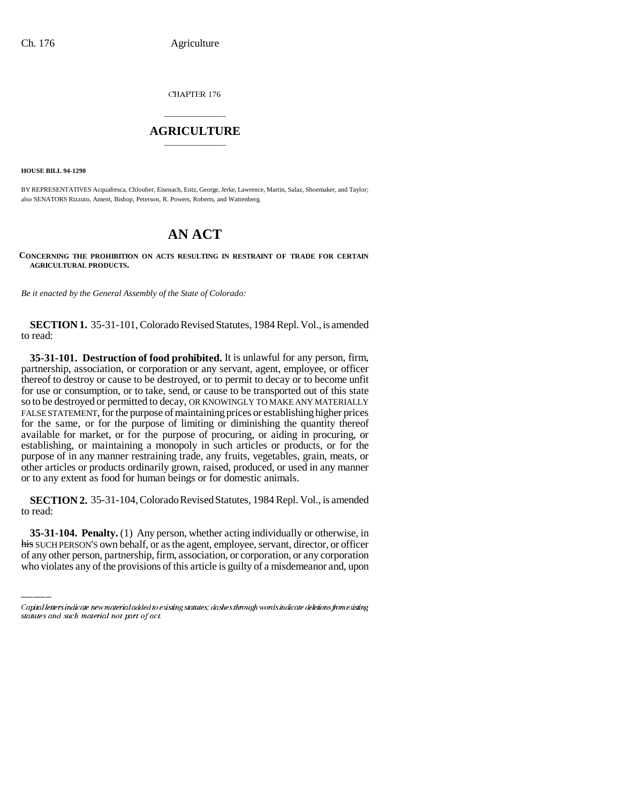CHAPTER 176

## \_\_\_\_\_\_\_\_\_\_\_\_\_\_\_ **AGRICULTURE** \_\_\_\_\_\_\_\_\_\_\_\_\_\_\_

**HOUSE BILL 94-1290**

BY REPRESENTATIVES Acquafresca, Chlouber, Eisenach, Entz, George, Jerke, Lawrence, Martin, Salaz, Shoemaker, and Taylor; also SENATORS Rizzuto, Ament, Bishop, Peterson, R. Powers, Roberts, and Wattenberg.

## **AN ACT**

**CONCERNING THE PROHIBITION ON ACTS RESULTING IN RESTRAINT OF TRADE FOR CERTAIN AGRICULTURAL PRODUCTS.**

*Be it enacted by the General Assembly of the State of Colorado:*

**SECTION 1.** 35-31-101, Colorado Revised Statutes, 1984 Repl. Vol., is amended to read:

**35-31-101. Destruction of food prohibited.** It is unlawful for any person, firm, partnership, association, or corporation or any servant, agent, employee, or officer thereof to destroy or cause to be destroyed, or to permit to decay or to become unfit for use or consumption, or to take, send, or cause to be transported out of this state so to be destroyed or permitted to decay, OR KNOWINGLY TO MAKE ANY MATERIALLY FALSE STATEMENT, for the purpose of maintaining prices or establishing higher prices for the same, or for the purpose of limiting or diminishing the quantity thereof available for market, or for the purpose of procuring, or aiding in procuring, or establishing, or maintaining a monopoly in such articles or products, or for the purpose of in any manner restraining trade, any fruits, vegetables, grain, meats, or other articles or products ordinarily grown, raised, produced, or used in any manner or to any extent as food for human beings or for domestic animals.

**SECTION 2.** 35-31-104, Colorado Revised Statutes, 1984 Repl. Vol., is amended to read:

**35-31-104. Penalty.** (1) Any person, whether acting individually or otherwise, in his SUCH PERSON'S own behalf, or as the agent, employee, servant, director, or officer of any other person, partnership, firm, association, or corporation, or any corporation who violates any of the provisions of this article is guilty of a misdemeanor and, upon

Capital letters indicate new material added to existing statutes; dashes through words indicate deletions from existing statutes and such material not part of act.